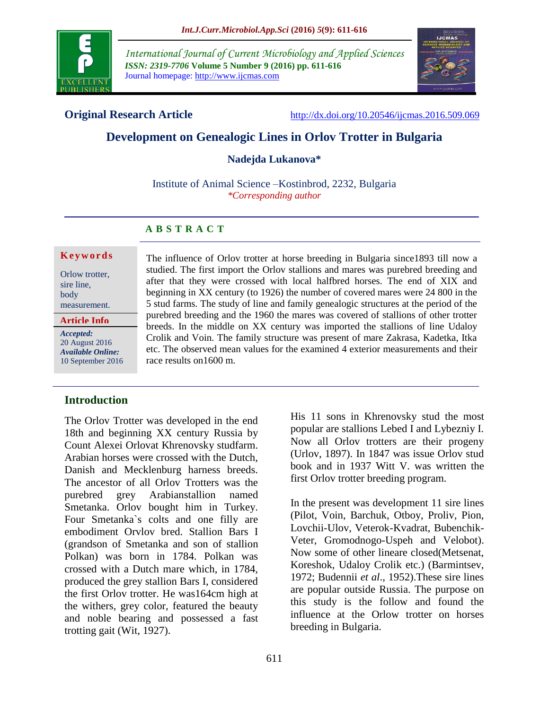

*International Journal of Current Microbiology and Applied Sciences ISSN: 2319-7706* **Volume 5 Number 9 (2016) pp. 611-616** Journal homepage: http://www.ijcmas.com



**Original Research Article** <http://dx.doi.org/10.20546/ijcmas.2016.509.069>

# **Development on Genealogic Lines in Orlov Trotter in Bulgaria**

**Nadejda Lukanova\***

Institute of Animal Science –Kostinbrod, 2232, Bulgaria *\*Corresponding author*

# **A B S T R A C T**

#### **K e y w o r d s**

Orlow trotter, sire line, body measurement.

**Article Info**

*Accepted:*  20 August 2016 *Available Online:* 10 September 2016

### **Introduction**

The Orlov Trotter was developed in the end 18th and beginning XX century Russia by Count Alexei Orlovat Khrenovsky studfarm. Arabian horses were crossed with the Dutch, Danish and Mecklenburg harness breeds. The ancestor of all Orlov Trotters was the purebred grey Arabianstallion named Smetanka. Orlov bought him in Turkey. Four Smetanka`s colts and one filly are embodiment Orvlov bred. Stallion Bars I (grandson of Smetanka and son of stallion Polkan) was born in 1784. Polkan was crossed with a Dutch mare which, in 1784, produced the grey stallion Bars I, considered the first Orlov trotter. He was164cm high at the withers, grey color, featured the beauty and noble bearing and possessed a fast trotting gait (Wit, 1927).

The influence of Orlov trotter at horse breeding in Bulgaria since1893 till now a studied. The first import the Orlov stallions and mares was purebred breeding and after that they were crossed with local halfbred horses. The end of XIX and beginning in XX century (to 1926) the number of covered mares were 24 800 in the 5 stud farms. The study of line and family genealogic structures at the period of the purebred breeding and the 1960 the mares was covered of stallions of other trotter breeds. In the middle on XX century was imported the stallions of line Udaloy Crolik and Voin. The family structure was present of mare Zakrasa, Kadetka, Itka etc. The observed mean values for the examined 4 exterior measurements and their race results on1600 m.

> His 11 sons in Khrenovsky stud the most popular are stallions Lebed I and Lybezniy I. Now all Orlov trotters are their progeny (Urlov, 1897). In 1847 was issue Orlov stud book and in 1937 Witt V. was written the first Orlov trotter breeding program.

> In the present was development 11 sire lines (Pilot, Voin, Barchuk, Otboy, Proliv, Pion, Lovchii-Ulov, Veterok-Kvadrat, Bubenchik-Veter, Gromodnogo-Uspeh and Velobot). Now some of other lineare closed(Metsenat, Koreshok, Udaloy Crolik etc.) (Barmintsev, 1972; Budennii *et al*., 1952).These sire lines are popular outside Russia. The purpose on this study is the follow and found the influence at the Orlow trotter on horses breeding in Bulgaria.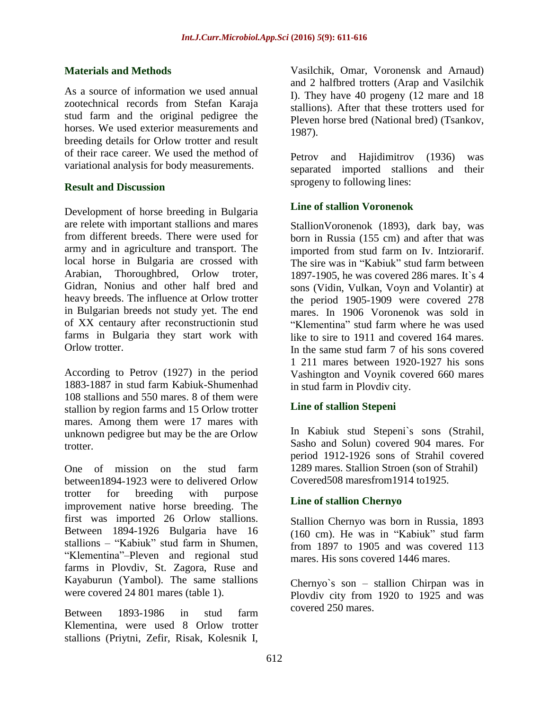#### **Materials and Methods**

As a source of information we used annual zootechnical records from Stefan Karaja stud farm and the original pedigree the horses. We used exterior measurements and breeding details for Orlow trotter and result of their race career. We used the method of variational analysis for body measurements.

#### **Result and Discussion**

Development of horse breeding in Bulgaria are relete with important stallions and mares from different breeds. There were used for army and in agriculture and transport. The local horse in Bulgaria are crossed with Arabian, Thoroughbred, Orlow troter, Gidran, Nonius and other half bred and heavy breeds. The influence at Orlow trotter in Bulgarian breeds not study yet. The end of XX centaury after reconstructionin stud farms in Bulgaria they start work with Orlow trotter.

According to Petrov (1927) in the period 1883-1887 in stud farm Kabiuk-Shumenhad 108 stallions and 550 mares. 8 of them were stallion by region farms and 15 Orlow trotter mares. Among them were 17 mares with unknown pedigree but may be the are Orlow trotter.

One of mission on the stud farm between1894-1923 were to delivered Orlow trotter for breeding with purpose improvement native horse breeding. The first was imported 26 Orlow stallions. Between 1894-1926 Bulgaria have 16 stallions – "Kabiuk" stud farm in Shumen, "Klementina"–Pleven and regional stud farms in Plovdiv, St. Zagora, Ruse and Kayaburun (Yambol). The same stallions were covered 24 801 mares (table 1).

Between 1893-1986 in stud farm Klementina, were used 8 Orlow trotter stallions (Priytni, Zefir, Risak, Kolesnik I,

Vasilchik, Omar, Voronensk and Arnaud) and 2 halfbred trotters (Arap and Vasilchik I). They have 40 progeny (12 mare and 18 stallions). After that these trotters used for Pleven horse bred (National bred) (Tsankov, 1987).

Petrov and Hajidimitrov (1936) was separated imported stallions and their sprogeny to following lines:

### **Line of stallion Voronenok**

StallionVoronenok (1893), dark bay, was born in Russia (155 cm) and after that was imported from stud farm on Iv. Intziorarif. The sire was in "Kabiuk" stud farm between 1897-1905, he was covered 286 mares. It`s 4 sons (Vidin, Vulkan, Voyn and Volantir) at the period 1905-1909 were covered 278 mares. In 1906 Voronenok was sold in "Klementina" stud farm where he was used like to sire to 1911 and covered 164 mares. In the same stud farm 7 of his sons covered 1 211 mares between 1920-1927 his sons Vashington and Voynik covered 660 mares in stud farm in Plovdiv city.

### **Line of stallion Stepeni**

In Kabiuk stud Stepeni`s sons (Strahil, Sasho and Solun) covered 904 mares. For period 1912-1926 sons of Strahil covered 1289 mares. Stallion Stroen (son of Strahil) Covered508 maresfrom1914 to1925.

### **Line of stallion Chernyo**

Stallion Chernyo was born in Russia, 1893 (160 cm). He was in "Kabiuk" stud farm from 1897 to 1905 and was covered 113 mares. His sons covered 1446 mares.

Chernyo`s son – stallion Chirpan was in Plovdiv city from 1920 to 1925 and was covered 250 mares.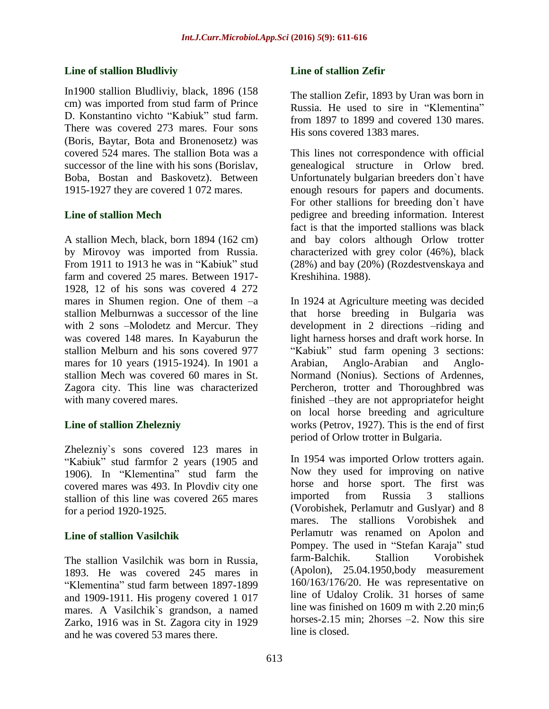### **Line of stallion Bludliviy**

In1900 stallion Bludliviy, black, 1896 (158 cm) was imported from stud farm of Prince D. Konstantino vichto "Kabiuk" stud farm. There was covered 273 mares. Four sons (Boris, Baytar, Bota and Bronenosetz) was covered 524 mares. The stallion Bota was a successor of the line with his sons (Borislav, Boba, Bostan and Baskovetz). Between 1915-1927 they are covered 1 072 mares.

## **Line of stallion Mech**

A stallion Mech, black, born 1894 (162 cm) by Mirovoy was imported from Russia. From 1911 to 1913 he was in "Kabiuk" stud farm and covered 25 mares. Between 1917- 1928, 12 of his sons was covered 4 272 mares in Shumen region. One of them –a stallion Melburnwas a successor of the line with 2 sons –Molodetz and Mercur. They was covered 148 mares. In Kayaburun the stallion Melburn and his sons covered 977 mares for 10 years (1915-1924). In 1901 a stallion Mech was covered 60 mares in St. Zagora city. This line was characterized with many covered mares.

# **Line of stallion Zhelezniy**

Zhelezniy`s sons covered 123 mares in "Kabiuk" stud farmfor 2 years (1905 and 1906). In "Klementina" stud farm the covered mares was 493. In Plovdiv city one stallion of this line was covered 265 mares for a period 1920-1925.

# **Line of stallion Vasilchik**

The stallion Vasilchik was born in Russia, 1893. He was covered 245 mares in "Klementina" stud farm between 1897-1899 and 1909-1911. His progeny covered 1 017 mares. A Vasilchik`s grandson, a named Zarko, 1916 was in St. Zagora city in 1929 and he was covered 53 mares there.

# **Line of stallion Zefir**

The stallion Zefir, 1893 by Uran was born in Russia. He used to sire in "Klementina" from 1897 to 1899 and covered 130 mares. His sons covered 1383 mares.

This lines not correspondence with official genealogical structure in Orlow bred. Unfortunately bulgarian breeders don`t have enough resours for papers and documents. For other stallions for breeding don`t have pedigree and breeding information. Interest fact is that the imported stallions was black and bay colors although Orlow trotter characterized with grey color (46%), black (28%) and bay (20%) (Rozdestvenskaya and Kreshihina. 1988).

In 1924 at Agriculture meeting was decided that horse breeding in Bulgaria was development in 2 directions –riding and light harness horses and draft work horse. In "Kabiuk" stud farm opening 3 sections: Arabian, Anglo-Arabian and Anglo-Normand (Nonius). Sections of Ardennes, Percheron, trotter and Thoroughbred was finished –they are not appropriatefor height on local horse breeding and agriculture works (Petrov, 1927). This is the end of first period of Orlow trotter in Bulgaria.

In 1954 was imported Orlow trotters again. Now they used for improving on native horse and horse sport. The first was imported from Russia 3 stallions (Vorobishek, Perlamutr and Guslyar) and 8 mares. The stallions Vorobishek and Perlamutr was renamed on Apolon and Pompey. The used in "Stefan Karaja" stud farm-Balchik. Stallion Vorobishek (Apolon), 25.04.1950,body measurement 160/163/176/20. He was representative on line of Udaloy Crolik. 31 horses of same line was finished on 1609 m with 2.20 min;6 horses-2.15 min; 2horses  $-2$ . Now this sire line is closed.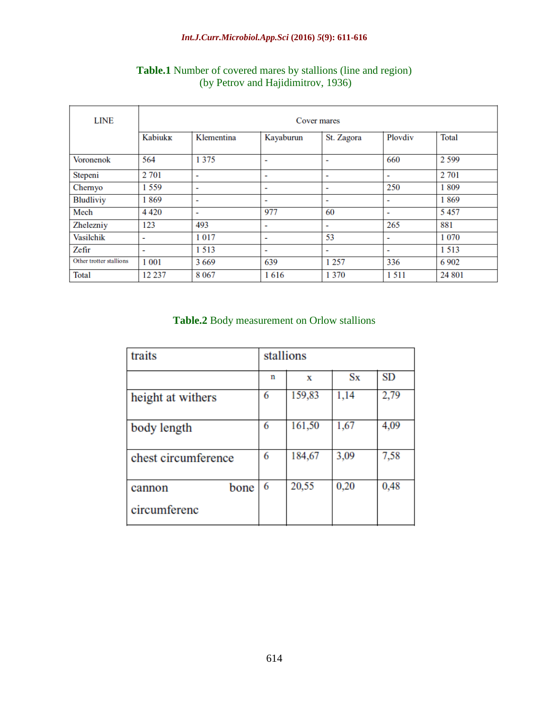| <b>LINE</b>             | Cover mares    |                          |                          |                          |                |         |  |
|-------------------------|----------------|--------------------------|--------------------------|--------------------------|----------------|---------|--|
|                         | <b>Kabiukk</b> | Klementina               | Kayaburun                | St. Zagora               | Ploydiv        | Total   |  |
| Voronenok               | 564            | 1 3 7 5                  | $\overline{\phantom{0}}$ | $\overline{\phantom{0}}$ | 660            | 2 5 9 9 |  |
| Stepeni                 | 2 701          | -                        | -                        | ٠                        | ۰              | 2 7 0 1 |  |
| Chernyo                 | 1559           | ٠                        | -                        | $\overline{\phantom{0}}$ | 250            | 1809    |  |
| <b>Bludliviy</b>        | 1869           | $\overline{\phantom{0}}$ | $\overline{\phantom{0}}$ | $\overline{\phantom{0}}$ | $\blacksquare$ | 1869    |  |
| Mech                    | 4 4 2 0        | ٠                        | 977                      | 60                       | ۰              | 5457    |  |
| Zhelezniy               | 123            | 493                      | -                        | -                        | 265            | 881     |  |
| Vasilchik               | ٠              | 1017                     | -                        | 53                       | ۰              | 1 0 7 0 |  |
| Zefir                   | ٠              | 1513                     |                          | ٠                        | -              | 1 5 1 3 |  |
| Other trotter stallions | 1 0 0 1        | 3669                     | 639                      | 1 2 5 7                  | 336            | 6 9 0 2 |  |
| <b>Total</b>            | 12 2 3 7       | 8 0 6 7                  | 1616                     | 1 3 7 0                  | 1 5 1 1        | 24 801  |  |

# **Table.1** Number of covered mares by stallions (line and region) (by Petrov and Hajidimitrov, 1936)

### **Table.2** Body measurement on Orlow stallions

| traits              | stallions |        |             |           |  |
|---------------------|-----------|--------|-------------|-----------|--|
|                     | n         | х      | $S_{\rm X}$ | <b>SD</b> |  |
| height at withers   | 6         | 159,83 | 1,14        | 2,79      |  |
| body length         | 6         | 161,50 | 1,67        | 4,09      |  |
| chest circumference | 6         | 184,67 | 3,09        | 7,58      |  |
| bone<br>cannon      | 6         | 20,55  | 0,20        | 0,48      |  |
| circumferenc        |           |        |             |           |  |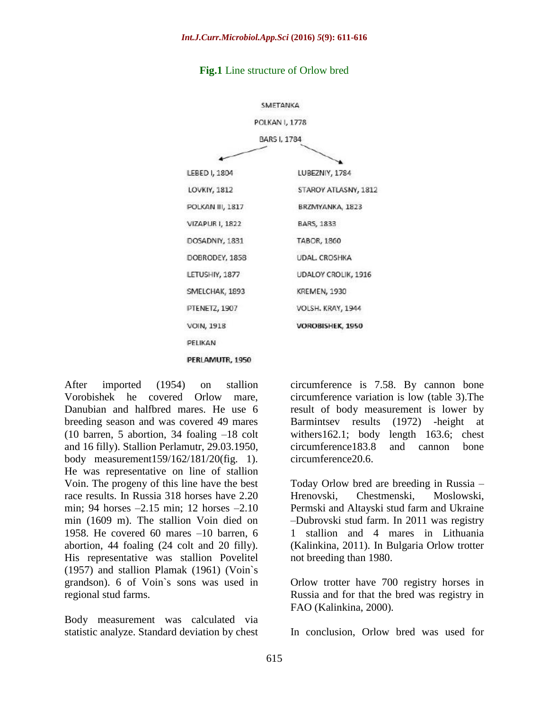

#### **Fig.1** Line structure of Orlow bred

After imported (1954) on stallion Vorobishek he covered Orlow mare, Danubian and halfbred mares. He use 6 breeding season and was covered 49 mares (10 barren, 5 abortion, 34 foaling –18 colt and 16 filly). Stallion Perlamutr, 29.03.1950, body measurement159/162/181/20(fig. 1). He was representative on line of stallion Voin. The progeny of this line have the best race results. In Russia 318 horses have 2.20 min; 94 horses –2.15 min; 12 horses –2.10 min (1609 m). The stallion Voin died on 1958. He covered 60 mares –10 barren, 6 abortion, 44 foaling (24 colt and 20 filly). His representative was stallion Povelitel (1957) and stallion Plamak (1961) (Voin`s grandson). 6 of Voin`s sons was used in regional stud farms.

Body measurement was calculated via statistic analyze. Standard deviation by chest

circumference is 7.58. By cannon bone circumference variation is low (table 3).The result of body measurement is lower by Barmintsev results (1972) -height at withers162.1; body length 163.6; chest circumference183.8 and cannon bone circumference20.6.

Today Orlow bred are breeding in Russia – Hrenovski, Chestmenski, Moslowski, Permski and Altayski stud farm and Ukraine –Dubrovski stud farm. In 2011 was registry 1 stallion and 4 mares in Lithuania (Kalinkina, 2011). In Bulgaria Orlow trotter not breeding than 1980.

Orlow trotter have 700 registry horses in Russia and for that the bred was registry in FAO (Kalinkina, 2000).

In conclusion, Orlow bred was used for